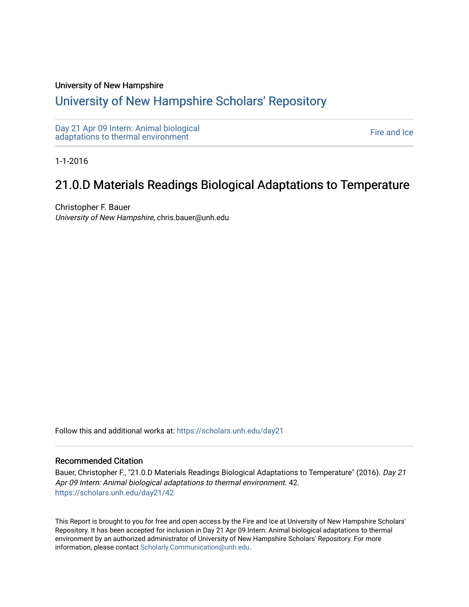### University of New Hampshire

## [University of New Hampshire Scholars' Repository](https://scholars.unh.edu/)

[Day 21 Apr 09 Intern: Animal biological](https://scholars.unh.edu/day21)  Day 21 Apr 09 intern. Animal protogreat<br>[adaptations to thermal environment](https://scholars.unh.edu/day21) Fire and Ice

1-1-2016

# 21.0.D Materials Readings Biological Adaptations to Temperature

Christopher F. Bauer University of New Hampshire, chris.bauer@unh.edu

Follow this and additional works at: [https://scholars.unh.edu/day21](https://scholars.unh.edu/day21?utm_source=scholars.unh.edu%2Fday21%2F42&utm_medium=PDF&utm_campaign=PDFCoverPages) 

#### Recommended Citation

Bauer, Christopher F., "21.0.D Materials Readings Biological Adaptations to Temperature" (2016). Day 21 Apr 09 Intern: Animal biological adaptations to thermal environment. 42. [https://scholars.unh.edu/day21/42](https://scholars.unh.edu/day21/42?utm_source=scholars.unh.edu%2Fday21%2F42&utm_medium=PDF&utm_campaign=PDFCoverPages)

This Report is brought to you for free and open access by the Fire and Ice at University of New Hampshire Scholars' Repository. It has been accepted for inclusion in Day 21 Apr 09 Intern: Animal biological adaptations to thermal environment by an authorized administrator of University of New Hampshire Scholars' Repository. For more information, please contact [Scholarly.Communication@unh.edu.](mailto:Scholarly.Communication@unh.edu)